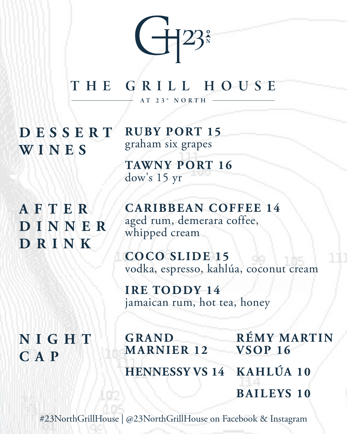

THE GRILL HOUSE AT 23° N ORTH

**D E S S E R T WINES**

**RUBY PORT 15** graham six grapes

**TAWNY PORT 16** dow's 15 yr

**A F T E R D I N N E R DRINK**

**CARIBBEAN COFFEE 14** aged rum, demerara coffee, whipped cream

**COCO SLIDE 15** vodka, espresso, kahlúa, coconut cream

**IRE TODDY 14** jamaican rum, hot tea, honey

**NIGHT CAP**

**GRAND MARNIER 12 HENNESSY VS 14 KAHLÚA 10 RÉMY MARTIN VSOP 16 BAILEYS 10**

#23NorthGrillHouse | @23NorthGrillHouse on Facebook & Instagram